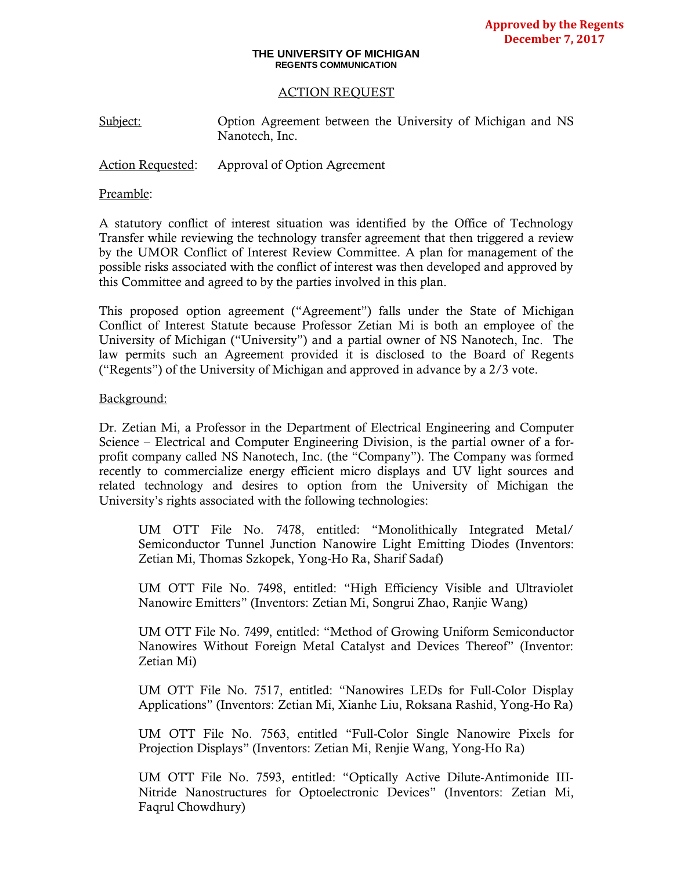#### **THE UNIVERSITY OF MICHIGAN REGENTS COMMUNICATION**

### ACTION REQUEST

Subject: Option Agreement between the University of Michigan and NS Nanotech, Inc.

Action Requested: Approval of Option Agreement

#### Preamble:

A statutory conflict of interest situation was identified by the Office of Technology Transfer while reviewing the technology transfer agreement that then triggered a review by the UMOR Conflict of Interest Review Committee. A plan for management of the possible risks associated with the conflict of interest was then developed and approved by this Committee and agreed to by the parties involved in this plan.

This proposed option agreement ("Agreement") falls under the State of Michigan Conflict of Interest Statute because Professor Zetian Mi is both an employee of the University of Michigan ("University") and a partial owner of NS Nanotech, Inc. The law permits such an Agreement provided it is disclosed to the Board of Regents ("Regents") of the University of Michigan and approved in advance by a 2/3 vote.

#### Background:

Dr. Zetian Mi, a Professor in the Department of Electrical Engineering and Computer Science – Electrical and Computer Engineering Division, is the partial owner of a forprofit company called NS Nanotech, Inc. (the "Company"). The Company was formed recently to commercialize energy efficient micro displays and UV light sources and related technology and desires to option from the University of Michigan the University's rights associated with the following technologies:

UM OTT File No. 7478, entitled: "Monolithically Integrated Metal/ Semiconductor Tunnel Junction Nanowire Light Emitting Diodes (Inventors: Zetian Mi, Thomas Szkopek, Yong-Ho Ra, Sharif Sadaf)

UM OTT File No. 7498, entitled: "High Efficiency Visible and Ultraviolet Nanowire Emitters" (Inventors: Zetian Mi, Songrui Zhao, Ranjie Wang)

UM OTT File No. 7499, entitled: "Method of Growing Uniform Semiconductor Nanowires Without Foreign Metal Catalyst and Devices Thereof" (Inventor: Zetian Mi)

UM OTT File No. 7517, entitled: "Nanowires LEDs for Full-Color Display Applications" (Inventors: Zetian Mi, Xianhe Liu, Roksana Rashid, Yong-Ho Ra)

UM OTT File No. 7563, entitled "Full-Color Single Nanowire Pixels for Projection Displays" (Inventors: Zetian Mi, Renjie Wang, Yong-Ho Ra)

UM OTT File No. 7593, entitled: "Optically Active Dilute-Antimonide III-Nitride Nanostructures for Optoelectronic Devices" (Inventors: Zetian Mi, Faqrul Chowdhury)